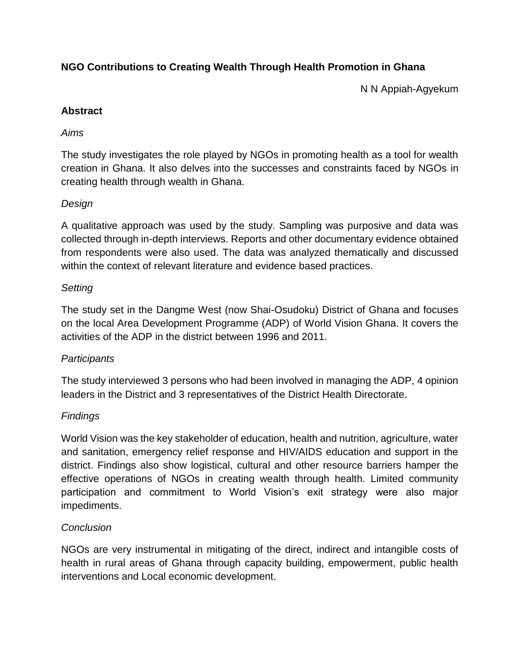# **NGO Contributions to Creating Wealth Through Health Promotion in Ghana**

N N Appiah-Agyekum

## **Abstract**

## *Aims*

The study investigates the role played by NGOs in promoting health as a tool for wealth creation in Ghana. It also delves into the successes and constraints faced by NGOs in creating health through wealth in Ghana.

# *Design*

A qualitative approach was used by the study. Sampling was purposive and data was collected through in-depth interviews. Reports and other documentary evidence obtained from respondents were also used. The data was analyzed thematically and discussed within the context of relevant literature and evidence based practices.

## *Setting*

The study set in the Dangme West (now Shai-Osudoku) District of Ghana and focuses on the local Area Development Programme (ADP) of World Vision Ghana. It covers the activities of the ADP in the district between 1996 and 2011.

# *Participants*

The study interviewed 3 persons who had been involved in managing the ADP, 4 opinion leaders in the District and 3 representatives of the District Health Directorate.

# *Findings*

World Vision was the key stakeholder of education, health and nutrition, agriculture, water and sanitation, emergency relief response and HIV/AIDS education and support in the district. Findings also show logistical, cultural and other resource barriers hamper the effective operations of NGOs in creating wealth through health. Limited community participation and commitment to World Vision's exit strategy were also major impediments.

## *Conclusion*

NGOs are very instrumental in mitigating of the direct, indirect and intangible costs of health in rural areas of Ghana through capacity building, empowerment, public health interventions and Local economic development.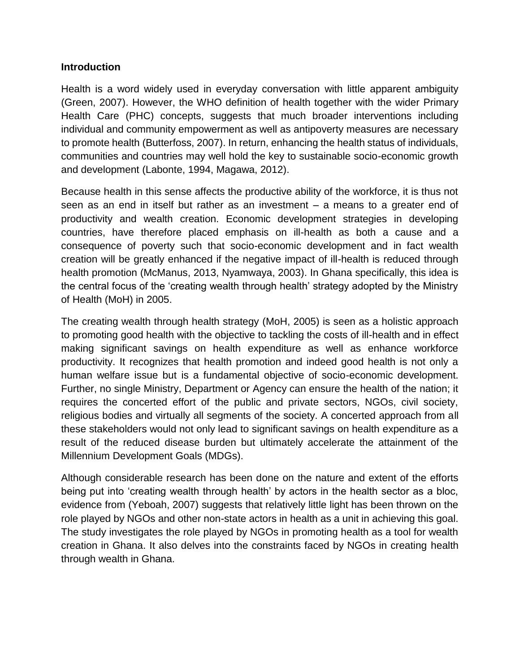### **Introduction**

Health is a word widely used in everyday conversation with little apparent ambiguity (Green, 2007). However, the WHO definition of health together with the wider Primary Health Care (PHC) concepts, suggests that much broader interventions including individual and community empowerment as well as antipoverty measures are necessary to promote health (Butterfoss, 2007). In return, enhancing the health status of individuals, communities and countries may well hold the key to sustainable socio-economic growth and development (Labonte, 1994, Magawa, 2012).

Because health in this sense affects the productive ability of the workforce, it is thus not seen as an end in itself but rather as an investment – a means to a greater end of productivity and wealth creation. Economic development strategies in developing countries, have therefore placed emphasis on ill-health as both a cause and a consequence of poverty such that socio-economic development and in fact wealth creation will be greatly enhanced if the negative impact of ill-health is reduced through health promotion (McManus, 2013, Nyamwaya, 2003). In Ghana specifically, this idea is the central focus of the 'creating wealth through health' strategy adopted by the Ministry of Health (MoH) in 2005.

The creating wealth through health strategy (MoH, 2005) is seen as a holistic approach to promoting good health with the objective to tackling the costs of ill-health and in effect making significant savings on health expenditure as well as enhance workforce productivity. It recognizes that health promotion and indeed good health is not only a human welfare issue but is a fundamental objective of socio-economic development. Further, no single Ministry, Department or Agency can ensure the health of the nation; it requires the concerted effort of the public and private sectors, NGOs, civil society, religious bodies and virtually all segments of the society. A concerted approach from all these stakeholders would not only lead to significant savings on health expenditure as a result of the reduced disease burden but ultimately accelerate the attainment of the Millennium Development Goals (MDGs).

Although considerable research has been done on the nature and extent of the efforts being put into 'creating wealth through health' by actors in the health sector as a bloc, evidence from (Yeboah, 2007) suggests that relatively little light has been thrown on the role played by NGOs and other non-state actors in health as a unit in achieving this goal. The study investigates the role played by NGOs in promoting health as a tool for wealth creation in Ghana. It also delves into the constraints faced by NGOs in creating health through wealth in Ghana.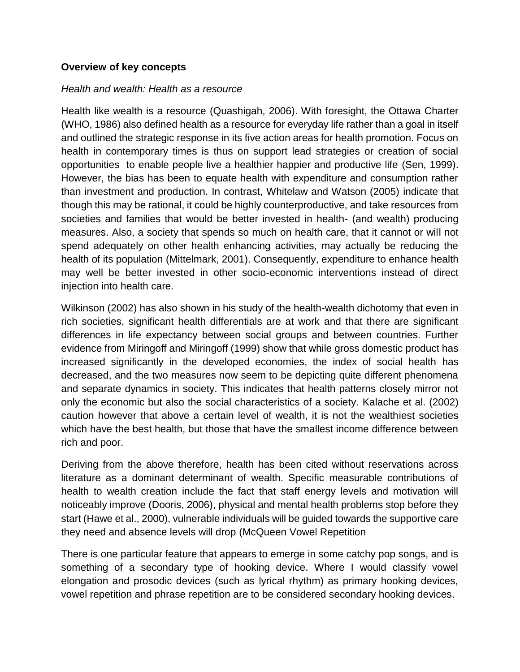### **Overview of key concepts**

#### *Health and wealth: Health as a resource*

Health like wealth is a resource (Quashigah, 2006). With foresight, the Ottawa Charter (WHO, 1986) also defined health as a resource for everyday life rather than a goal in itself and outlined the strategic response in its five action areas for health promotion. Focus on health in contemporary times is thus on support lead strategies or creation of social opportunities to enable people live a healthier happier and productive life (Sen, 1999). However, the bias has been to equate health with expenditure and consumption rather than investment and production. In contrast, [Whitelaw and Watson \(2005\)](file:///C:/Users/lamond01/Desktop/PORESO%202015/Nana%20Appiah-Agyekum%20.docx%23_ENREF_55) indicate that though this may be rational, it could be highly counterproductive, and take resources from societies and families that would be better invested in health- (and wealth) producing measures. Also, a society that spends so much on health care, that it cannot or will not spend adequately on other health enhancing activities, may actually be reducing the health of its population (Mittelmark, 2001). Consequently, expenditure to enhance health may well be better invested in other socio-economic interventions instead of direct injection into health care.

[Wilkinson \(2002\)](file:///C:/Users/lamond01/Desktop/PORESO%202015/Nana%20Appiah-Agyekum%20.docx%23_ENREF_60) has also shown in his study of the health-wealth dichotomy that even in rich societies, significant health differentials are at work and that there are significant differences in life expectancy between social groups and between countries. Further evidence from Miringoff and Miringoff (1999) show that while gross domestic product has increased significantly in the developed economies, the index of social health has decreased, and the two measures now seem to be depicting quite different phenomena and separate dynamics in society. This indicates that health patterns closely mirror not only the economic but also the social characteristics of a society. Kalache et al. (2002) caution however that above a certain level of wealth, it is not the wealthiest societies which have the best health, but those that have the smallest income difference between rich and poor.

Deriving from the above therefore, health has been cited without reservations across literature as a dominant determinant of wealth. Specific measurable contributions of health to wealth creation include the fact that staff energy levels and motivation will noticeably improve (Dooris, 2006), physical and mental health problems stop before they start (Hawe et al., 2000), vulnerable individuals will be guided towards the supportive care they need and absence levels will drop (McQueen Vowel Repetition

There is one particular feature that appears to emerge in some catchy pop songs, and is something of a secondary type of hooking device. Where I would classify vowel elongation and prosodic devices (such as lyrical rhythm) as primary hooking devices, vowel repetition and phrase repetition are to be considered secondary hooking devices.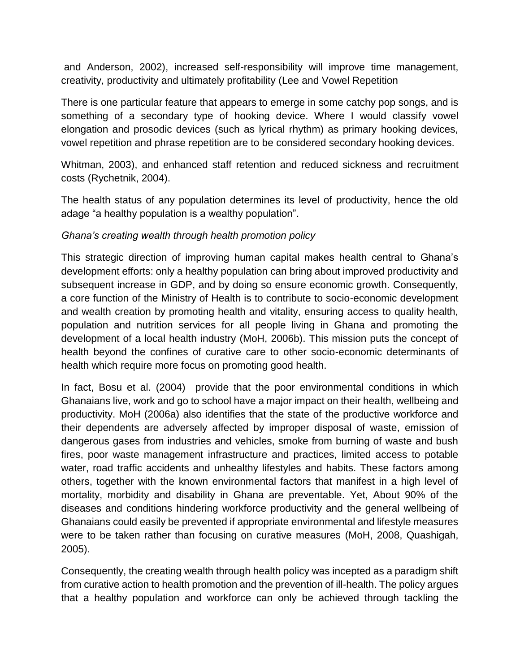and Anderson, 2002), increased self-responsibility will improve time management, creativity, productivity and ultimately profitability (Lee and Vowel Repetition

There is one particular feature that appears to emerge in some catchy pop songs, and is something of a secondary type of hooking device. Where I would classify vowel elongation and prosodic devices (such as lyrical rhythm) as primary hooking devices, vowel repetition and phrase repetition are to be considered secondary hooking devices.

Whitman, 2003), and enhanced staff retention and reduced sickness and recruitment costs (Rychetnik, 2004).

The health status of any population determines its level of productivity, hence the old adage "a healthy population is a wealthy population".

## *Ghana's creating wealth through health promotion policy*

This strategic direction of improving human capital makes health central to Ghana's development efforts: only a healthy population can bring about improved productivity and subsequent increase in GDP, and by doing so ensure economic growth. Consequently, a core function of the Ministry of Health is to contribute to socio-economic development and wealth creation by promoting health and vitality, ensuring access to quality health, population and nutrition services for all people living in Ghana and promoting the development of a local health industry (MoH, 2006b). This mission puts the concept of health beyond the confines of curative care to other socio-economic determinants of health which require more focus on promoting good health.

In fact, Bosu et al. (2004) provide that the poor environmental conditions in which Ghanaians live, work and go to school have a major impact on their health, wellbeing and productivity. [MoH \(2006a\)](file:///C:/Users/lamond01/Desktop/PORESO%202015/Nana%20Appiah-Agyekum%20.docx%23_ENREF_38) also identifies that the state of the productive workforce and their dependents are adversely affected by improper disposal of waste, emission of dangerous gases from industries and vehicles, smoke from burning of waste and bush fires, poor waste management infrastructure and practices, limited access to potable water, road traffic accidents and unhealthy lifestyles and habits. These factors among others, together with the known environmental factors that manifest in a high level of mortality, morbidity and disability in Ghana are preventable. Yet, About 90% of the diseases and conditions hindering workforce productivity and the general wellbeing of Ghanaians could easily be prevented if appropriate environmental and lifestyle measures were to be taken rather than focusing on curative measures (MoH, 2008, Quashigah, 2005).

Consequently, the creating wealth through health policy was incepted as a paradigm shift from curative action to health promotion and the prevention of ill-health. The policy argues that a healthy population and workforce can only be achieved through tackling the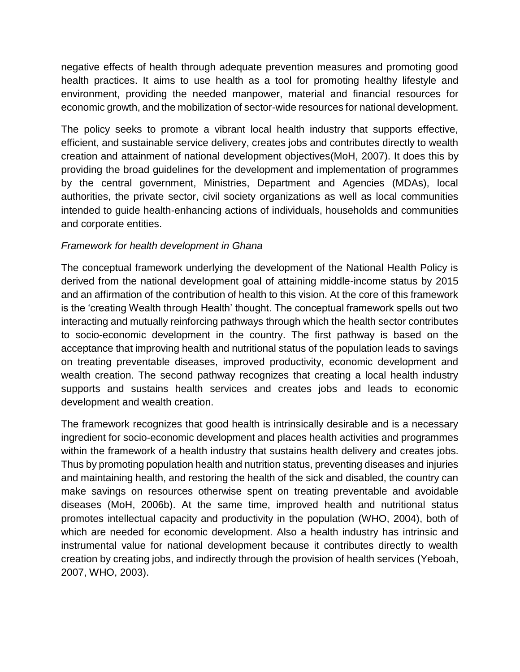negative effects of health through adequate prevention measures and promoting good health practices. It aims to use health as a tool for promoting healthy lifestyle and environment, providing the needed manpower, material and financial resources for economic growth, and the mobilization of sector-wide resources for national development.

The policy seeks to promote a vibrant local health industry that supports effective, efficient, and sustainable service delivery, creates jobs and contributes directly to wealth creation and attainment of national development objectives(MoH, 2007). It does this by providing the broad guidelines for the development and implementation of programmes by the central government, Ministries, Department and Agencies (MDAs), local authorities, the private sector, civil society organizations as well as local communities intended to guide health-enhancing actions of individuals, households and communities and corporate entities.

### *Framework for health development in Ghana*

The conceptual framework underlying the development of the National Health Policy is derived from the national development goal of attaining middle-income status by 2015 and an affirmation of the contribution of health to this vision. At the core of this framework is the 'creating Wealth through Health' thought. The conceptual framework spells out two interacting and mutually reinforcing pathways through which the health sector contributes to socio-economic development in the country. The first pathway is based on the acceptance that improving health and nutritional status of the population leads to savings on treating preventable diseases, improved productivity, economic development and wealth creation. The second pathway recognizes that creating a local health industry supports and sustains health services and creates jobs and leads to economic development and wealth creation.

The framework recognizes that good health is intrinsically desirable and is a necessary ingredient for socio-economic development and places health activities and programmes within the framework of a health industry that sustains health delivery and creates jobs. Thus by promoting population health and nutrition status, preventing diseases and injuries and maintaining health, and restoring the health of the sick and disabled, the country can make savings on resources otherwise spent on treating preventable and avoidable diseases (MoH, 2006b). At the same time, improved health and nutritional status promotes intellectual capacity and productivity in the population (WHO, 2004), both of which are needed for economic development. Also a health industry has intrinsic and instrumental value for national development because it contributes directly to wealth creation by creating jobs, and indirectly through the provision of health services (Yeboah, 2007, WHO, 2003).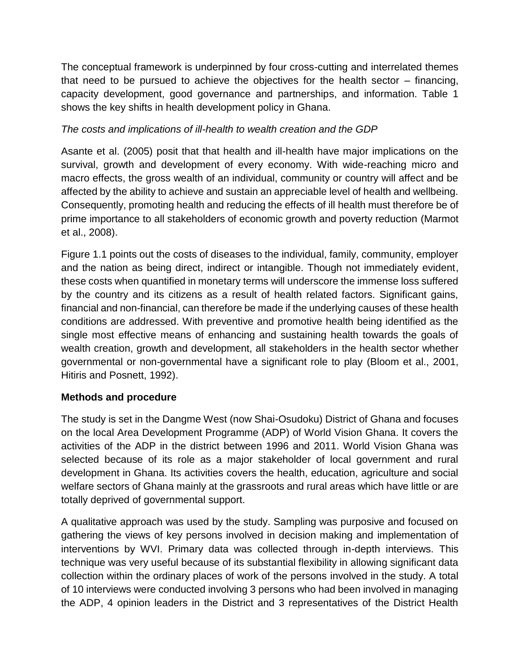The conceptual framework is underpinned by four cross-cutting and interrelated themes that need to be pursued to achieve the objectives for the health sector – financing, capacity development, good governance and partnerships, and information. Table 1 shows the key shifts in health development policy in Ghana.

# *The costs and implications of ill-health to wealth creation and the GDP*

[Asante et al. \(2005\)](file:///C:/Users/lamond01/Desktop/PORESO%202015/Nana%20Appiah-Agyekum%20.docx%23_ENREF_2) posit that that health and ill-health have major implications on the survival, growth and development of every economy. With wide-reaching micro and macro effects, the gross wealth of an individual, community or country will affect and be affected by the ability to achieve and sustain an appreciable level of health and wellbeing. Consequently, promoting health and reducing the effects of ill health must therefore be of prime importance to all stakeholders of economic growth and poverty reduction (Marmot et al., 2008).

Figure 1.1 points out the costs of diseases to the individual, family, community, employer and the nation as being direct, indirect or intangible. Though not immediately evident, these costs when quantified in monetary terms will underscore the immense loss suffered by the country and its citizens as a result of health related factors. Significant gains, financial and non-financial, can therefore be made if the underlying causes of these health conditions are addressed. With preventive and promotive health being identified as the single most effective means of enhancing and sustaining health towards the goals of wealth creation, growth and development, all stakeholders in the health sector whether governmental or non-governmental have a significant role to play (Bloom et al., 2001, Hitiris and Posnett, 1992).

## **Methods and procedure**

The study is set in the Dangme West (now Shai-Osudoku) District of Ghana and focuses on the local Area Development Programme (ADP) of World Vision Ghana. It covers the activities of the ADP in the district between 1996 and 2011. World Vision Ghana was selected because of its role as a major stakeholder of local government and rural development in Ghana. Its activities covers the health, education, agriculture and social welfare sectors of Ghana mainly at the grassroots and rural areas which have little or are totally deprived of governmental support.

A qualitative approach was used by the study. Sampling was purposive and focused on gathering the views of key persons involved in decision making and implementation of interventions by WVI. Primary data was collected through in-depth interviews. This technique was very useful because of its substantial flexibility in allowing significant data collection within the ordinary places of work of the persons involved in the study. A total of 10 interviews were conducted involving 3 persons who had been involved in managing the ADP, 4 opinion leaders in the District and 3 representatives of the District Health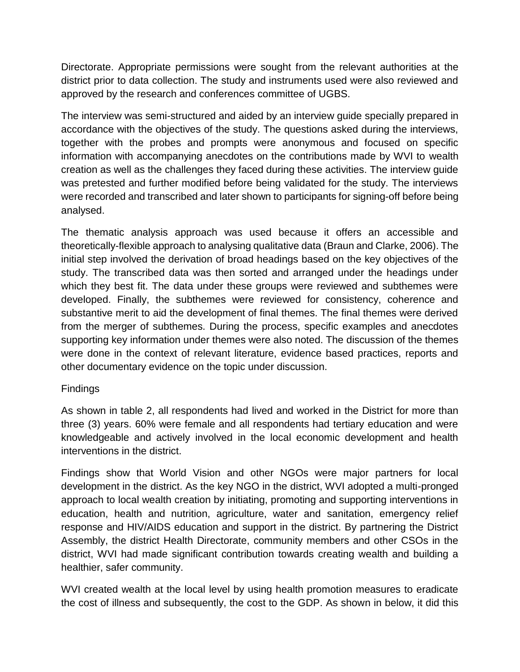Directorate. Appropriate permissions were sought from the relevant authorities at the district prior to data collection. The study and instruments used were also reviewed and approved by the research and conferences committee of UGBS.

The interview was semi-structured and aided by an interview guide specially prepared in accordance with the objectives of the study. The questions asked during the interviews, together with the probes and prompts were anonymous and focused on specific information with accompanying anecdotes on the contributions made by WVI to wealth creation as well as the challenges they faced during these activities. The interview guide was pretested and further modified before being validated for the study. The interviews were recorded and transcribed and later shown to participants for signing-off before being analysed.

The thematic analysis approach was used because it offers an accessible and theoretically-flexible approach to analysing qualitative data (Braun and Clarke, 2006). The initial step involved the derivation of broad headings based on the key objectives of the study. The transcribed data was then sorted and arranged under the headings under which they best fit. The data under these groups were reviewed and subthemes were developed. Finally, the subthemes were reviewed for consistency, coherence and substantive merit to aid the development of final themes. The final themes were derived from the merger of subthemes. During the process, specific examples and anecdotes supporting key information under themes were also noted. The discussion of the themes were done in the context of relevant literature, evidence based practices, reports and other documentary evidence on the topic under discussion.

## **Findings**

As shown in table 2, all respondents had lived and worked in the District for more than three (3) years. 60% were female and all respondents had tertiary education and were knowledgeable and actively involved in the local economic development and health interventions in the district.

Findings show that World Vision and other NGOs were major partners for local development in the district. As the key NGO in the district, WVI adopted a multi-pronged approach to local wealth creation by initiating, promoting and supporting interventions in education, health and nutrition, agriculture, water and sanitation, emergency relief response and HIV/AIDS education and support in the district. By partnering the District Assembly, the district Health Directorate, community members and other CSOs in the district, WVI had made significant contribution towards creating wealth and building a healthier, safer community.

WVI created wealth at the local level by using health promotion measures to eradicate the cost of illness and subsequently, the cost to the GDP. As shown in below, it did this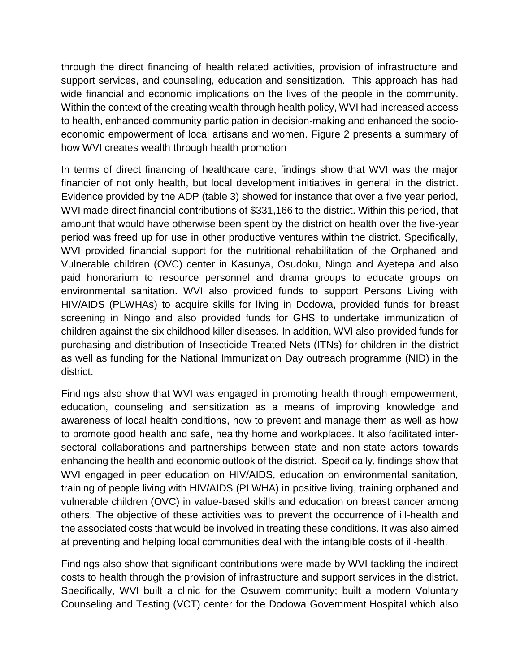through the direct financing of health related activities, provision of infrastructure and support services, and counseling, education and sensitization. This approach has had wide financial and economic implications on the lives of the people in the community. Within the context of the creating wealth through health policy, WVI had increased access to health, enhanced community participation in decision-making and enhanced the socioeconomic empowerment of local artisans and women. Figure 2 presents a summary of how WVI creates wealth through health promotion

In terms of direct financing of healthcare care, findings show that WVI was the major financier of not only health, but local development initiatives in general in the district. Evidence provided by the ADP (table 3) showed for instance that over a five year period, WVI made direct financial contributions of \$331,166 to the district. Within this period, that amount that would have otherwise been spent by the district on health over the five-year period was freed up for use in other productive ventures within the district. Specifically, WVI provided financial support for the nutritional rehabilitation of the Orphaned and Vulnerable children (OVC) center in Kasunya, Osudoku, Ningo and Ayetepa and also paid honorarium to resource personnel and drama groups to educate groups on environmental sanitation. WVI also provided funds to support Persons Living with HIV/AIDS (PLWHAs) to acquire skills for living in Dodowa, provided funds for breast screening in Ningo and also provided funds for GHS to undertake immunization of children against the six childhood killer diseases. In addition, WVI also provided funds for purchasing and distribution of Insecticide Treated Nets (ITNs) for children in the district as well as funding for the National Immunization Day outreach programme (NID) in the district.

Findings also show that WVI was engaged in promoting health through empowerment, education, counseling and sensitization as a means of improving knowledge and awareness of local health conditions, how to prevent and manage them as well as how to promote good health and safe, healthy home and workplaces. It also facilitated intersectoral collaborations and partnerships between state and non-state actors towards enhancing the health and economic outlook of the district. Specifically, findings show that WVI engaged in peer education on HIV/AIDS, education on environmental sanitation, training of people living with HIV/AIDS (PLWHA) in positive living, training orphaned and vulnerable children (OVC) in value-based skills and education on breast cancer among others. The objective of these activities was to prevent the occurrence of ill-health and the associated costs that would be involved in treating these conditions. It was also aimed at preventing and helping local communities deal with the intangible costs of ill-health.

Findings also show that significant contributions were made by WVI tackling the indirect costs to health through the provision of infrastructure and support services in the district. Specifically, WVI built a clinic for the Osuwem community; built a modern Voluntary Counseling and Testing (VCT) center for the Dodowa Government Hospital which also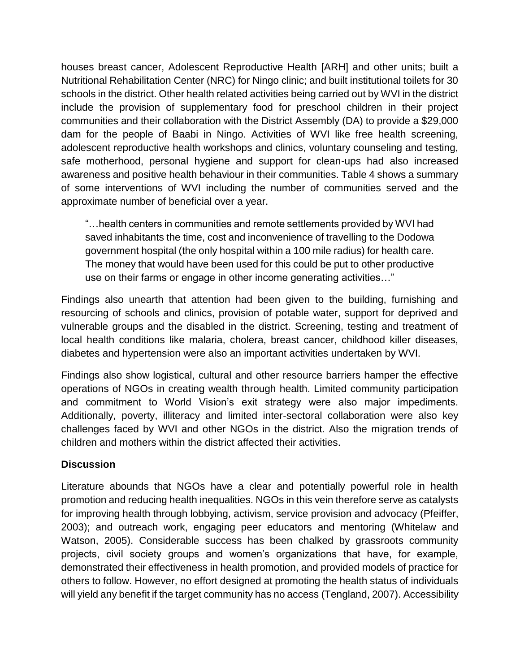houses breast cancer, Adolescent Reproductive Health [ARH] and other units; built a Nutritional Rehabilitation Center (NRC) for Ningo clinic; and built institutional toilets for 30 schools in the district. Other health related activities being carried out by WVI in the district include the provision of supplementary food for preschool children in their project communities and their collaboration with the District Assembly (DA) to provide a \$29,000 dam for the people of Baabi in Ningo. Activities of WVI like free health screening, adolescent reproductive health workshops and clinics, voluntary counseling and testing, safe motherhood, personal hygiene and support for clean-ups had also increased awareness and positive health behaviour in their communities. Table 4 shows a summary of some interventions of WVI including the number of communities served and the approximate number of beneficial over a year.

"…health centers in communities and remote settlements provided by WVI had saved inhabitants the time, cost and inconvenience of travelling to the Dodowa government hospital (the only hospital within a 100 mile radius) for health care. The money that would have been used for this could be put to other productive use on their farms or engage in other income generating activities…"

Findings also unearth that attention had been given to the building, furnishing and resourcing of schools and clinics, provision of potable water, support for deprived and vulnerable groups and the disabled in the district. Screening, testing and treatment of local health conditions like malaria, cholera, breast cancer, childhood killer diseases, diabetes and hypertension were also an important activities undertaken by WVI.

Findings also show logistical, cultural and other resource barriers hamper the effective operations of NGOs in creating wealth through health. Limited community participation and commitment to World Vision's exit strategy were also major impediments. Additionally, poverty, illiteracy and limited inter-sectoral collaboration were also key challenges faced by WVI and other NGOs in the district. Also the migration trends of children and mothers within the district affected their activities.

## **Discussion**

Literature abounds that NGOs have a clear and potentially powerful role in health promotion and reducing health inequalities. NGOs in this vein therefore serve as catalysts for improving health through lobbying, activism, service provision and advocacy (Pfeiffer, 2003); and outreach work, engaging peer educators and mentoring (Whitelaw and Watson, 2005). Considerable success has been chalked by grassroots community projects, civil society groups and women's organizations that have, for example, demonstrated their effectiveness in health promotion, and provided models of practice for others to follow. However, no effort designed at promoting the health status of individuals will yield any benefit if the target community has no access (Tengland, 2007). Accessibility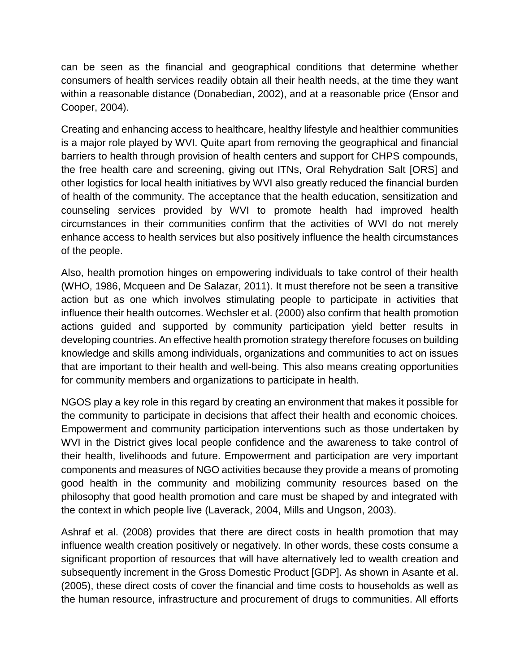can be seen as the financial and geographical conditions that determine whether consumers of health services readily obtain all their health needs, at the time they want within a reasonable distance (Donabedian, 2002), and at a reasonable price (Ensor and Cooper, 2004).

Creating and enhancing access to healthcare, healthy lifestyle and healthier communities is a major role played by WVI. Quite apart from removing the geographical and financial barriers to health through provision of health centers and support for CHPS compounds, the free health care and screening, giving out ITNs, Oral Rehydration Salt [ORS] and other logistics for local health initiatives by WVI also greatly reduced the financial burden of health of the community. The acceptance that the health education, sensitization and counseling services provided by WVI to promote health had improved health circumstances in their communities confirm that the activities of WVI do not merely enhance access to health services but also positively influence the health circumstances of the people.

Also, health promotion hinges on empowering individuals to take control of their health (WHO, 1986, Mcqueen and De Salazar, 2011). It must therefore not be seen a transitive action but as one which involves stimulating people to participate in activities that influence their health outcomes. Wechsler et al. (2000) also confirm that health promotion actions guided and supported by community participation yield better results in developing countries. An effective health promotion strategy therefore focuses on building knowledge and skills among individuals, organizations and communities to act on issues that are important to their health and well-being. This also means creating opportunities for community members and organizations to participate in health.

NGOS play a key role in this regard by creating an environment that makes it possible for the community to participate in decisions that affect their health and economic choices. Empowerment and community participation interventions such as those undertaken by WVI in the District gives local people confidence and the awareness to take control of their health, livelihoods and future. Empowerment and participation are very important components and measures of NGO activities because they provide a means of promoting good health in the community and mobilizing community resources based on the philosophy that good health promotion and care must be shaped by and integrated with the context in which people live (Laverack, 2004, Mills and Ungson, 2003).

Ashraf et al. (2008) provides that there are direct costs in health promotion that may influence wealth creation positively or negatively. In other words, these costs consume a significant proportion of resources that will have alternatively led to wealth creation and subsequently increment in the Gross Domestic Product [GDP]. As shown in Asante et al. (2005), these direct costs of cover the financial and time costs to households as well as the human resource, infrastructure and procurement of drugs to communities. All efforts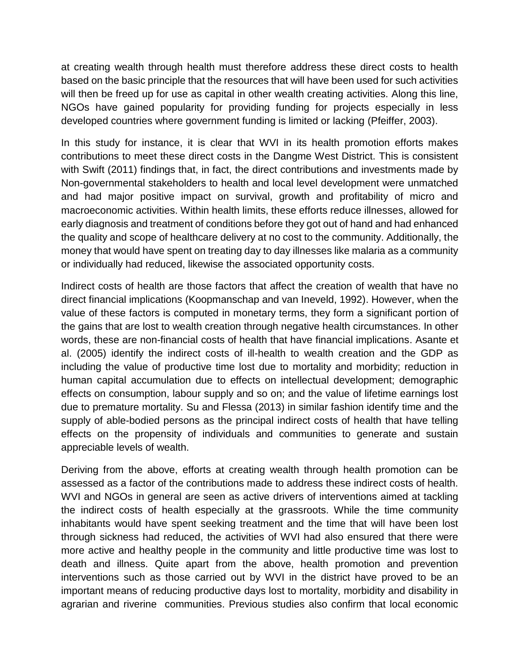at creating wealth through health must therefore address these direct costs to health based on the basic principle that the resources that will have been used for such activities will then be freed up for use as capital in other wealth creating activities. Along this line, NGOs have gained popularity for providing funding for projects especially in less developed countries where government funding is limited or lacking (Pfeiffer, 2003).

In this study for instance, it is clear that WVI in its health promotion efforts makes contributions to meet these direct costs in the Dangme West District. This is consistent with Swift (2011) findings that, in fact, the direct contributions and investments made by Non-governmental stakeholders to health and local level development were unmatched and had major positive impact on survival, growth and profitability of micro and macroeconomic activities. Within health limits, these efforts reduce illnesses, allowed for early diagnosis and treatment of conditions before they got out of hand and had enhanced the quality and scope of healthcare delivery at no cost to the community. Additionally, the money that would have spent on treating day to day illnesses like malaria as a community or individually had reduced, likewise the associated opportunity costs.

Indirect costs of health are those factors that affect the creation of wealth that have no direct financial implications (Koopmanschap and van Ineveld, 1992). However, when the value of these factors is computed in monetary terms, they form a significant portion of the gains that are lost to wealth creation through negative health circumstances. In other words, these are non-financial costs of health that have financial implications. [Asante et](file:///C:/Users/lamond01/Desktop/PORESO%202015/Nana%20Appiah-Agyekum%20.docx%23_ENREF_2)  al. (2005) identify the indirect costs of ill-health to wealth creation and the GDP as including the value of productive time lost due to mortality and morbidity; reduction in human capital accumulation due to effects on intellectual development; demographic effects on consumption, labour supply and so on; and the value of lifetime earnings lost due to premature mortality. [Su and Flessa \(2013\)](file:///C:/Users/lamond01/Desktop/PORESO%202015/Nana%20Appiah-Agyekum%20.docx%23_ENREF_50) in similar fashion identify time and the supply of able-bodied persons as the principal indirect costs of health that have telling effects on the propensity of individuals and communities to generate and sustain appreciable levels of wealth.

Deriving from the above, efforts at creating wealth through health promotion can be assessed as a factor of the contributions made to address these indirect costs of health. WVI and NGOs in general are seen as active drivers of interventions aimed at tackling the indirect costs of health especially at the grassroots. While the time community inhabitants would have spent seeking treatment and the time that will have been lost through sickness had reduced, the activities of WVI had also ensured that there were more active and healthy people in the community and little productive time was lost to death and illness. Quite apart from the above, health promotion and prevention interventions such as those carried out by WVI in the district have proved to be an important means of reducing productive days lost to mortality, morbidity and disability in agrarian and riverine communities. Previous studies also confirm that local economic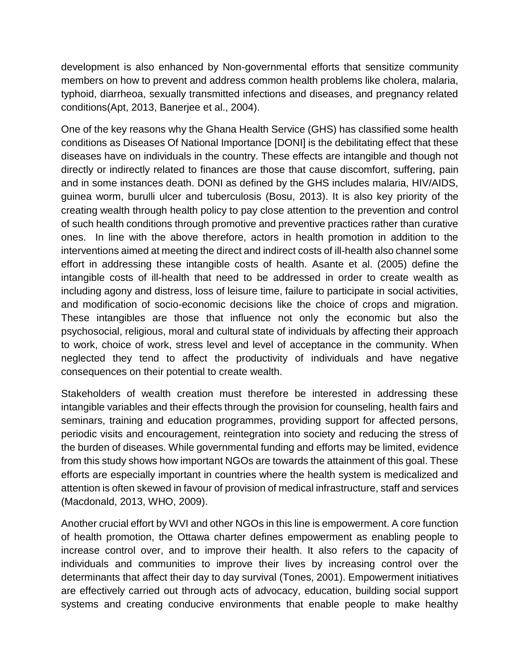development is also enhanced by Non-governmental efforts that sensitize community members on how to prevent and address common health problems like cholera, malaria, typhoid, diarrheoa, sexually transmitted infections and diseases, and pregnancy related conditions(Apt, 2013, Banerjee et al., 2004).

One of the key reasons why the Ghana Health Service (GHS) has classified some health conditions as Diseases Of National Importance [DONI] is the debilitating effect that these diseases have on individuals in the country. These effects are intangible and though not directly or indirectly related to finances are those that cause discomfort, suffering, pain and in some instances death. DONI as defined by the GHS includes malaria, HIV/AIDS, guinea worm, burulli ulcer and tuberculosis (Bosu, 2013). It is also key priority of the creating wealth through health policy to pay close attention to the prevention and control of such health conditions through promotive and preventive practices rather than curative ones. In line with the above therefore, actors in health promotion in addition to the interventions aimed at meeting the direct and indirect costs of ill-health also channel some effort in addressing these intangible costs of health. Asante et al. (2005) define the intangible costs of ill-health that need to be addressed in order to create wealth as including agony and distress, loss of leisure time, failure to participate in social activities, and modification of socio-economic decisions like the choice of crops and migration. These intangibles are those that influence not only the economic but also the psychosocial, religious, moral and cultural state of individuals by affecting their approach to work, choice of work, stress level and level of acceptance in the community. When neglected they tend to affect the productivity of individuals and have negative consequences on their potential to create wealth.

Stakeholders of wealth creation must therefore be interested in addressing these intangible variables and their effects through the provision for counseling, health fairs and seminars, training and education programmes, providing support for affected persons, periodic visits and encouragement, reintegration into society and reducing the stress of the burden of diseases. While governmental funding and efforts may be limited, evidence from this study shows how important NGOs are towards the attainment of this goal. These efforts are especially important in countries where the health system is medicalized and attention is often skewed in favour of provision of medical infrastructure, staff and services (Macdonald, 2013, WHO, 2009).

Another crucial effort by WVI and other NGOs in this line is empowerment. A core function of health promotion, the Ottawa charter defines empowerment as enabling people to increase control over, and to improve their health. It also refers to the capacity of individuals and communities to improve their lives by increasing control over the determinants that affect their day to day survival (Tones, 2001). Empowerment initiatives are effectively carried out through acts of advocacy, education, building social support systems and creating conducive environments that enable people to make healthy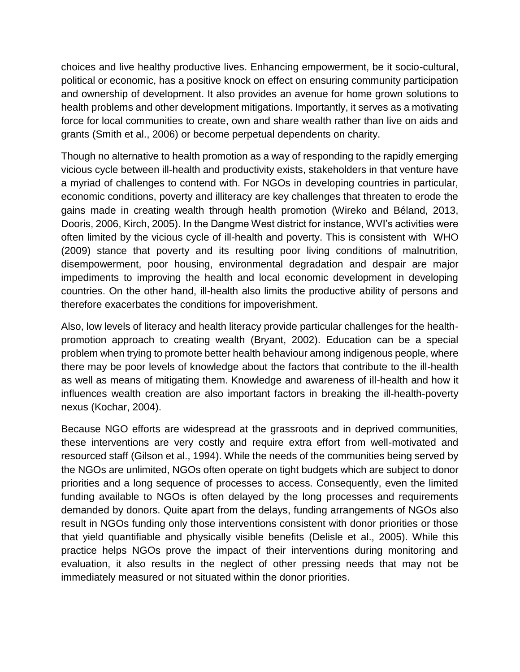choices and live healthy productive lives. Enhancing empowerment, be it socio-cultural, political or economic, has a positive knock on effect on ensuring community participation and ownership of development. It also provides an avenue for home grown solutions to health problems and other development mitigations. Importantly, it serves as a motivating force for local communities to create, own and share wealth rather than live on aids and grants (Smith et al., 2006) or become perpetual dependents on charity.

Though no alternative to health promotion as a way of responding to the rapidly emerging vicious cycle between ill-health and productivity exists, stakeholders in that venture have a myriad of challenges to contend with. For NGOs in developing countries in particular, economic conditions, poverty and illiteracy are key challenges that threaten to erode the gains made in creating wealth through health promotion (Wireko and Béland, 2013, Dooris, 2006, Kirch, 2005). In the Dangme West district for instance, WVI's activities were often limited by the vicious cycle of ill-health and poverty. This is consistent with WHO (2009) stance that poverty and its resulting poor living conditions of malnutrition, disempowerment, poor housing, environmental degradation and despair are major impediments to improving the health and local economic development in developing countries. On the other hand, ill-health also limits the productive ability of persons and therefore exacerbates the conditions for impoverishment.

Also, low levels of literacy and health literacy provide particular challenges for the healthpromotion approach to creating wealth (Bryant, 2002). Education can be a special problem when trying to promote better health behaviour among indigenous people, where there may be poor levels of knowledge about the factors that contribute to the ill-health as well as means of mitigating them. Knowledge and awareness of ill-health and how it influences wealth creation are also important factors in breaking the ill-health-poverty nexus (Kochar, 2004).

Because NGO efforts are widespread at the grassroots and in deprived communities, these interventions are very costly and require extra effort from well-motivated and resourced staff (Gilson et al., 1994). While the needs of the communities being served by the NGOs are unlimited, NGOs often operate on tight budgets which are subject to donor priorities and a long sequence of processes to access. Consequently, even the limited funding available to NGOs is often delayed by the long processes and requirements demanded by donors. Quite apart from the delays, funding arrangements of NGOs also result in NGOs funding only those interventions consistent with donor priorities or those that yield quantifiable and physically visible benefits (Delisle et al., 2005). While this practice helps NGOs prove the impact of their interventions during monitoring and evaluation, it also results in the neglect of other pressing needs that may not be immediately measured or not situated within the donor priorities.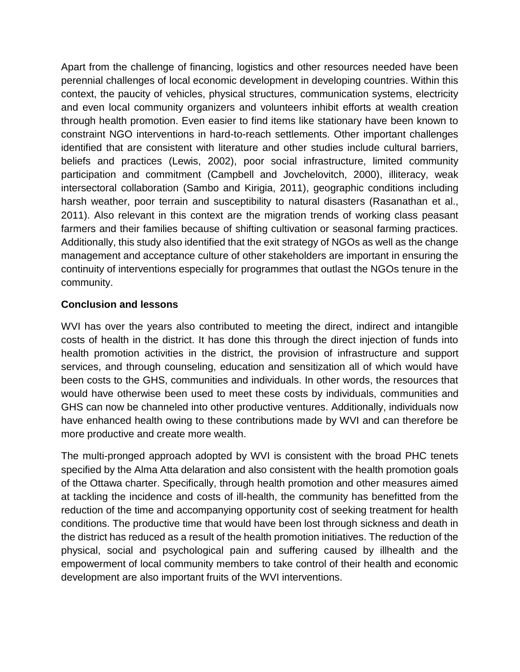Apart from the challenge of financing, logistics and other resources needed have been perennial challenges of local economic development in developing countries. Within this context, the paucity of vehicles, physical structures, communication systems, electricity and even local community organizers and volunteers inhibit efforts at wealth creation through health promotion. Even easier to find items like stationary have been known to constraint NGO interventions in hard-to-reach settlements. Other important challenges identified that are consistent with literature and other studies include cultural barriers, beliefs and practices (Lewis, 2002), poor social infrastructure, limited community participation and commitment (Campbell and Jovchelovitch, 2000), illiteracy, weak intersectoral collaboration (Sambo and Kirigia, 2011), geographic conditions including harsh weather, poor terrain and susceptibility to natural disasters (Rasanathan et al., 2011). Also relevant in this context are the migration trends of working class peasant farmers and their families because of shifting cultivation or seasonal farming practices. Additionally, this study also identified that the exit strategy of NGOs as well as the change management and acceptance culture of other stakeholders are important in ensuring the continuity of interventions especially for programmes that outlast the NGOs tenure in the community.

## **Conclusion and lessons**

WVI has over the years also contributed to meeting the direct, indirect and intangible costs of health in the district. It has done this through the direct injection of funds into health promotion activities in the district, the provision of infrastructure and support services, and through counseling, education and sensitization all of which would have been costs to the GHS, communities and individuals. In other words, the resources that would have otherwise been used to meet these costs by individuals, communities and GHS can now be channeled into other productive ventures. Additionally, individuals now have enhanced health owing to these contributions made by WVI and can therefore be more productive and create more wealth.

The multi-pronged approach adopted by WVI is consistent with the broad PHC tenets specified by the Alma Atta delaration and also consistent with the health promotion goals of the Ottawa charter. Specifically, through health promotion and other measures aimed at tackling the incidence and costs of ill-health, the community has benefitted from the reduction of the time and accompanying opportunity cost of seeking treatment for health conditions. The productive time that would have been lost through sickness and death in the district has reduced as a result of the health promotion initiatives. The reduction of the physical, social and psychological pain and suffering caused by illhealth and the empowerment of local community members to take control of their health and economic development are also important fruits of the WVI interventions.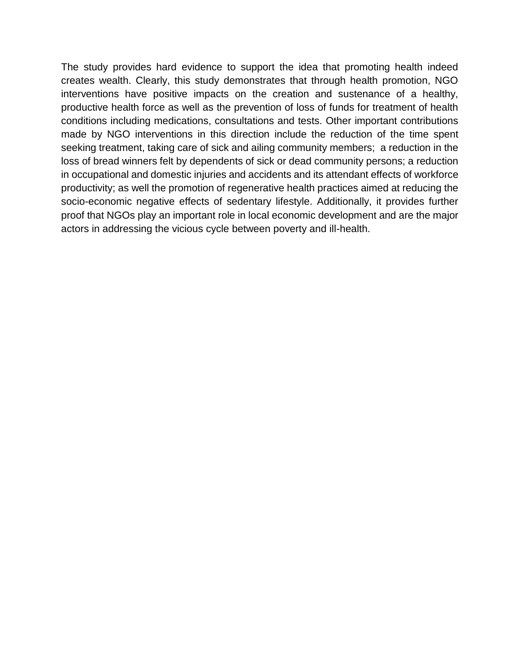The study provides hard evidence to support the idea that promoting health indeed creates wealth. Clearly, this study demonstrates that through health promotion, NGO interventions have positive impacts on the creation and sustenance of a healthy, productive health force as well as the prevention of loss of funds for treatment of health conditions including medications, consultations and tests. Other important contributions made by NGO interventions in this direction include the reduction of the time spent seeking treatment, taking care of sick and ailing community members; a reduction in the loss of bread winners felt by dependents of sick or dead community persons; a reduction in occupational and domestic injuries and accidents and its attendant effects of workforce productivity; as well the promotion of regenerative health practices aimed at reducing the socio-economic negative effects of sedentary lifestyle. Additionally, it provides further proof that NGOs play an important role in local economic development and are the major actors in addressing the vicious cycle between poverty and ill-health.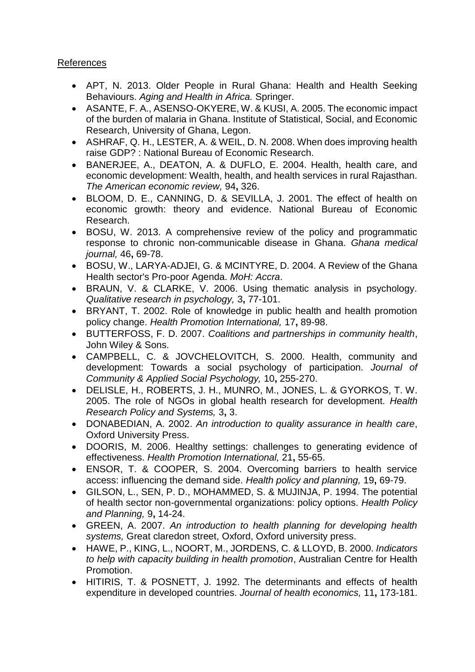## References

- APT, N. 2013. Older People in Rural Ghana: Health and Health Seeking Behaviours. *Aging and Health in Africa.* Springer.
- ASANTE, F. A., ASENSO-OKYERE, W. & KUSI, A. 2005. The economic impact of the burden of malaria in Ghana. Institute of Statistical, Social, and Economic Research, University of Ghana, Legon.
- ASHRAF, Q. H., LESTER, A. & WEIL, D. N. 2008. When does improving health raise GDP? : National Bureau of Economic Research.
- BANERJEE, A., DEATON, A. & DUFLO, E. 2004. Health, health care, and economic development: Wealth, health, and health services in rural Rajasthan. *The American economic review,* 94**,** 326.
- BLOOM, D. E., CANNING, D. & SEVILLA, J. 2001. The effect of health on economic growth: theory and evidence. National Bureau of Economic Research.
- BOSU, W. 2013. A comprehensive review of the policy and programmatic response to chronic non-communicable disease in Ghana. *Ghana medical journal,* 46**,** 69-78.
- BOSU, W., LARYA-ADJEI, G. & MCINTYRE, D. 2004. A Review of the Ghana Health sector's Pro-poor Agenda. *MoH: Accra*.
- BRAUN, V. & CLARKE, V. 2006. Using thematic analysis in psychology. *Qualitative research in psychology,* 3**,** 77-101.
- BRYANT, T. 2002. Role of knowledge in public health and health promotion policy change. *Health Promotion International,* 17**,** 89-98.
- BUTTERFOSS, F. D. 2007. *Coalitions and partnerships in community health*, John Wiley & Sons.
- CAMPBELL, C. & JOVCHELOVITCH, S. 2000. Health, community and development: Towards a social psychology of participation. *Journal of Community & Applied Social Psychology,* 10**,** 255-270.
- DELISLE, H., ROBERTS, J. H., MUNRO, M., JONES, L. & GYORKOS, T. W. 2005. The role of NGOs in global health research for development. *Health Research Policy and Systems,* 3**,** 3.
- DONABEDIAN, A. 2002. *An introduction to quality assurance in health care*, Oxford University Press.
- DOORIS, M. 2006. Healthy settings: challenges to generating evidence of effectiveness. *Health Promotion International,* 21**,** 55-65.
- ENSOR, T. & COOPER, S. 2004. Overcoming barriers to health service access: influencing the demand side. *Health policy and planning,* 19**,** 69-79.
- GILSON, L., SEN, P. D., MOHAMMED, S. & MUJINJA, P. 1994. The potential of health sector non-governmental organizations: policy options. *Health Policy and Planning,* 9**,** 14-24.
- GREEN, A. 2007. *An introduction to health planning for developing health systems,* Great claredon street, Oxford, Oxford university press.
- HAWE, P., KING, L., NOORT, M., JORDENS, C. & LLOYD, B. 2000. *Indicators to help with capacity building in health promotion*, Australian Centre for Health Promotion.
- HITIRIS, T. & POSNETT, J. 1992. The determinants and effects of health expenditure in developed countries. *Journal of health economics,* 11**,** 173-181.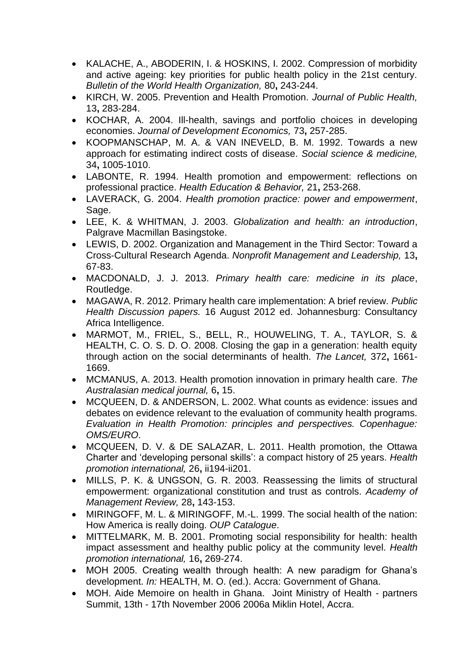- KALACHE, A., ABODERIN, I. & HOSKINS, I. 2002. Compression of morbidity and active ageing: key priorities for public health policy in the 21st century. *Bulletin of the World Health Organization,* 80**,** 243-244.
- KIRCH, W. 2005. Prevention and Health Promotion. *Journal of Public Health,* 13**,** 283-284.
- KOCHAR, A. 2004. Ill-health, savings and portfolio choices in developing economies. *Journal of Development Economics,* 73**,** 257-285.
- KOOPMANSCHAP, M. A. & VAN INEVELD, B. M. 1992. Towards a new approach for estimating indirect costs of disease. *Social science & medicine,* 34**,** 1005-1010.
- LABONTE, R. 1994. Health promotion and empowerment: reflections on professional practice. *Health Education & Behavior,* 21**,** 253-268.
- LAVERACK, G. 2004. *Health promotion practice: power and empowerment*, Sage.
- LEE, K. & WHITMAN, J. 2003. *Globalization and health: an introduction*, Palgrave Macmillan Basingstoke.
- LEWIS, D. 2002. Organization and Management in the Third Sector: Toward a Cross‐Cultural Research Agenda. *Nonprofit Management and Leadership,* 13**,** 67-83.
- MACDONALD, J. J. 2013. *Primary health care: medicine in its place*, Routledge.
- MAGAWA, R. 2012. Primary health care implementation: A brief review. *Public Health Discussion papers.* 16 August 2012 ed. Johannesburg: Consultancy Africa Intelligence.
- MARMOT, M., FRIEL, S., BELL, R., HOUWELING, T. A., TAYLOR, S. & HEALTH, C. O. S. D. O. 2008. Closing the gap in a generation: health equity through action on the social determinants of health. *The Lancet,* 372**,** 1661- 1669.
- MCMANUS, A. 2013. Health promotion innovation in primary health care. *The Australasian medical journal,* 6**,** 15.
- MCQUEEN, D. & ANDERSON, L. 2002. What counts as evidence: issues and debates on evidence relevant to the evaluation of community health programs. *Evaluation in Health Promotion: principles and perspectives. Copenhague: OMS/EURO*.
- MCQUEEN, D. V. & DE SALAZAR, L. 2011. Health promotion, the Ottawa Charter and 'developing personal skills': a compact history of 25 years. *Health promotion international,* 26**,** ii194-ii201.
- MILLS, P. K. & UNGSON, G. R. 2003. Reassessing the limits of structural empowerment: organizational constitution and trust as controls. *Academy of Management Review,* 28**,** 143-153.
- MIRINGOFF, M. L. & MIRINGOFF, M.-L. 1999. The social health of the nation: How America is really doing. *OUP Catalogue*.
- MITTELMARK, M. B. 2001. Promoting social responsibility for health: health impact assessment and healthy public policy at the community level. *Health promotion international,* 16**,** 269-274.
- MOH 2005. Creating wealth through health: A new paradigm for Ghana's development. *In:* HEALTH, M. O. (ed.). Accra: Government of Ghana.
- MOH. Aide Memoire on health in Ghana. Joint Ministry of Health partners Summit, 13th - 17th November 2006 2006a Miklin Hotel, Accra.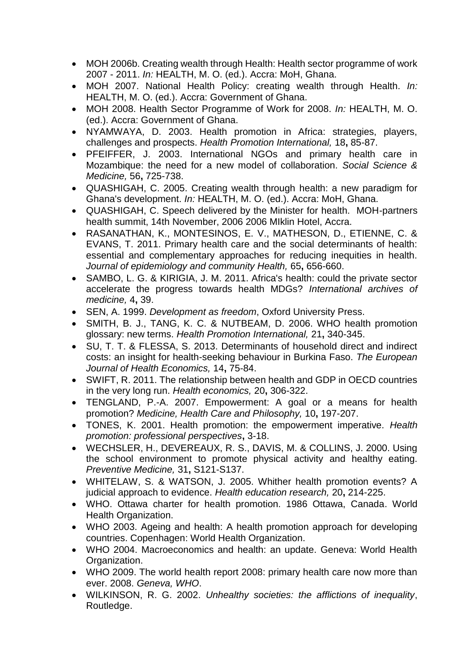- MOH 2006b. Creating wealth through Health: Health sector programme of work 2007 - 2011. *In:* HEALTH, M. O. (ed.). Accra: MoH, Ghana.
- MOH 2007. National Health Policy: creating wealth through Health. *In:* HEALTH, M. O. (ed.). Accra: Government of Ghana.
- MOH 2008. Health Sector Programme of Work for 2008. *In:* HEALTH, M. O. (ed.). Accra: Government of Ghana.
- NYAMWAYA, D. 2003. Health promotion in Africa: strategies, players, challenges and prospects. *Health Promotion International,* 18**,** 85-87.
- PFEIFFER, J. 2003. International NGOs and primary health care in Mozambique: the need for a new model of collaboration. *Social Science & Medicine,* 56**,** 725-738.
- QUASHIGAH, C. 2005. Creating wealth through health: a new paradigm for Ghana's development. *In:* HEALTH, M. O. (ed.). Accra: MoH, Ghana.
- QUASHIGAH, C. Speech delivered by the Minister for health. MOH-partners health summit, 14th November, 2006 2006 MIklin Hotel, Accra.
- RASANATHAN, K., MONTESINOS, E. V., MATHESON, D., ETIENNE, C. & EVANS, T. 2011. Primary health care and the social determinants of health: essential and complementary approaches for reducing inequities in health. *Journal of epidemiology and community Health,* 65**,** 656-660.
- SAMBO, L. G. & KIRIGIA, J. M. 2011. Africa's health: could the private sector accelerate the progress towards health MDGs? *International archives of medicine,* 4**,** 39.
- SEN, A. 1999. *Development as freedom*, Oxford University Press.
- SMITH, B. J., TANG, K. C. & NUTBEAM, D. 2006. WHO health promotion glossary: new terms. *Health Promotion International,* 21**,** 340-345.
- SU, T. T. & FLESSA, S. 2013. Determinants of household direct and indirect costs: an insight for health-seeking behaviour in Burkina Faso. *The European Journal of Health Economics,* 14**,** 75-84.
- SWIFT, R. 2011. The relationship between health and GDP in OECD countries in the very long run. *Health economics,* 20**,** 306-322.
- TENGLAND, P.-A. 2007. Empowerment: A goal or a means for health promotion? *Medicine, Health Care and Philosophy,* 10**,** 197-207.
- TONES, K. 2001. Health promotion: the empowerment imperative. *Health promotion: professional perspectives***,** 3-18.
- WECHSLER, H., DEVEREAUX, R. S., DAVIS, M. & COLLINS, J. 2000. Using the school environment to promote physical activity and healthy eating. *Preventive Medicine,* 31**,** S121-S137.
- WHITELAW, S. & WATSON, J. 2005. Whither health promotion events? A judicial approach to evidence. *Health education research,* 20**,** 214-225.
- WHO. Ottawa charter for health promotion. 1986 Ottawa, Canada. World Health Organization.
- WHO 2003. Ageing and health: A health promotion approach for developing countries. Copenhagen: World Health Organization.
- WHO 2004. Macroeconomics and health: an update. Geneva: World Health Organization.
- WHO 2009. The world health report 2008: primary health care now more than ever. 2008. *Geneva, WHO*.
- WILKINSON, R. G. 2002. *Unhealthy societies: the afflictions of inequality*, Routledge.